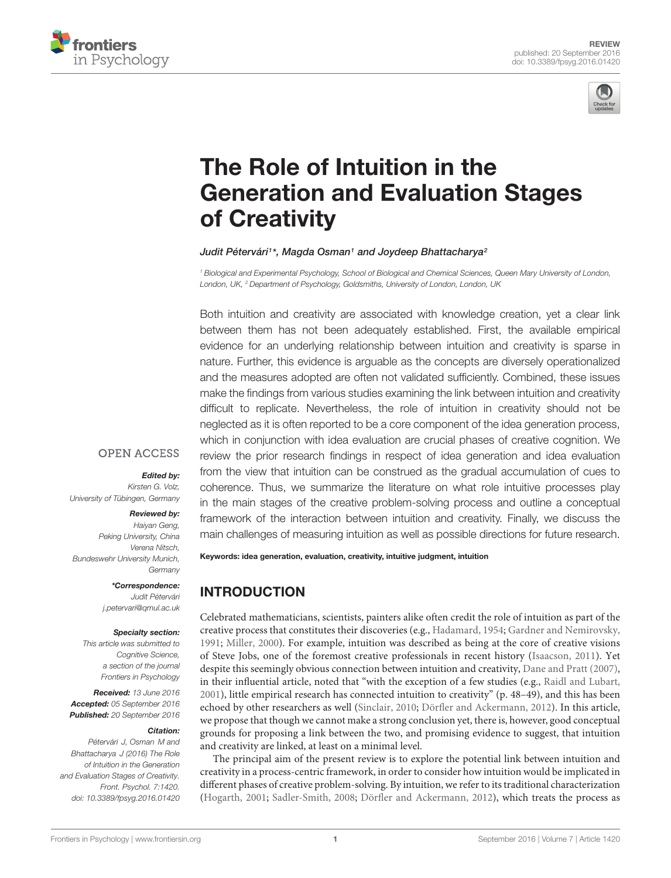



# The Role of Intuition in the [Generation and Evaluation Stages](http://journal.frontiersin.org/article/10.3389/fpsyg.2016.01420/abstract) of Creativity

#### [Judit Pétervári](http://loop.frontiersin.org/people/70649/overview)1\*, [Magda Osman](http://loop.frontiersin.org/people/30816/overview)1 and [Joydeep Bhattacharya](http://loop.frontiersin.org/people/34464/overview)2

<sup>1</sup> Biological and Experimental Psychology, School of Biological and Chemical Sciences, Queen Mary University of London, London, UK, <sup>2</sup> Department of Psychology, Goldsmiths, University of London, London, UK

Both intuition and creativity are associated with knowledge creation, yet a clear link between them has not been adequately established. First, the available empirical evidence for an underlying relationship between intuition and creativity is sparse in nature. Further, this evidence is arguable as the concepts are diversely operationalized and the measures adopted are often not validated sufficiently. Combined, these issues make the findings from various studies examining the link between intuition and creativity difficult to replicate. Nevertheless, the role of intuition in creativity should not be neglected as it is often reported to be a core component of the idea generation process, which in conjunction with idea evaluation are crucial phases of creative cognition. We review the prior research findings in respect of idea generation and idea evaluation from the view that intuition can be construed as the gradual accumulation of cues to coherence. Thus, we summarize the literature on what role intuitive processes play in the main stages of the creative problem-solving process and outline a conceptual framework of the interaction between intuition and creativity. Finally, we discuss the main challenges of measuring intuition as well as possible directions for future research.

#### **OPEN ACCESS**

#### Edited by:

Kirsten G. Volz, University of Tübingen, Germany

#### Reviewed by:

Haiyan Geng, Peking University, China Verena Nitsch, Bundeswehr University Munich, **Germany** 

> \*Correspondence: Judit Pétervári j.petervari@qmul.ac.uk

#### Specialty section:

This article was submitted to Cognitive Science, a section of the journal Frontiers in Psychology

Received: 13 June 2016 Accepted: 05 September 2016 Published: 20 September 2016

#### Citation:

Pétervári J, Osman M and Bhattacharya J (2016) The Role of Intuition in the Generation and Evaluation Stages of Creativity. Front. Psychol. 7:1420. doi: [10.3389/fpsyg.2016.01420](http://dx.doi.org/10.3389/fpsyg.2016.01420) Keywords: idea generation, evaluation, creativity, intuitive judgment, intuition

# INTRODUCTION

Celebrated mathematicians, scientists, painters alike often credit the role of intuition as part of the creative process that constitutes their discoveries (e.g., [Hadamard, 1954;](#page-10-0) [Gardner and Nemirovsky,](#page-10-1) [1991;](#page-10-1) [Miller, 2000\)](#page-10-2). For example, intuition was described as being at the core of creative visions of Steve Jobs, one of the foremost creative professionals in recent history [\(Isaacson, 2011\)](#page-10-3). Yet despite this seemingly obvious connection between intuition and creativity, [Dane and Pratt](#page-9-0) [\(2007\)](#page-9-0), in their influential article, noted that "with the exception of a few studies (e.g., [Raidl and Lubart,](#page-10-4) [2001\)](#page-10-4), little empirical research has connected intuition to creativity" (p. 48–49), and this has been echoed by other researchers as well [\(Sinclair, 2010;](#page-10-5) [Dörfler and Ackermann, 2012\)](#page-9-1). In this article, we propose that though we cannot make a strong conclusion yet, there is, however, good conceptual grounds for proposing a link between the two, and promising evidence to suggest, that intuition and creativity are linked, at least on a minimal level.

The principal aim of the present review is to explore the potential link between intuition and creativity in a process-centric framework, in order to consider how intuition would be implicated in different phases of creative problem-solving. By intuition, we refer to its traditional characterization [\(Hogarth, 2001;](#page-10-6) [Sadler-Smith, 2008;](#page-10-7) [Dörfler and Ackermann, 2012\)](#page-9-1), which treats the process as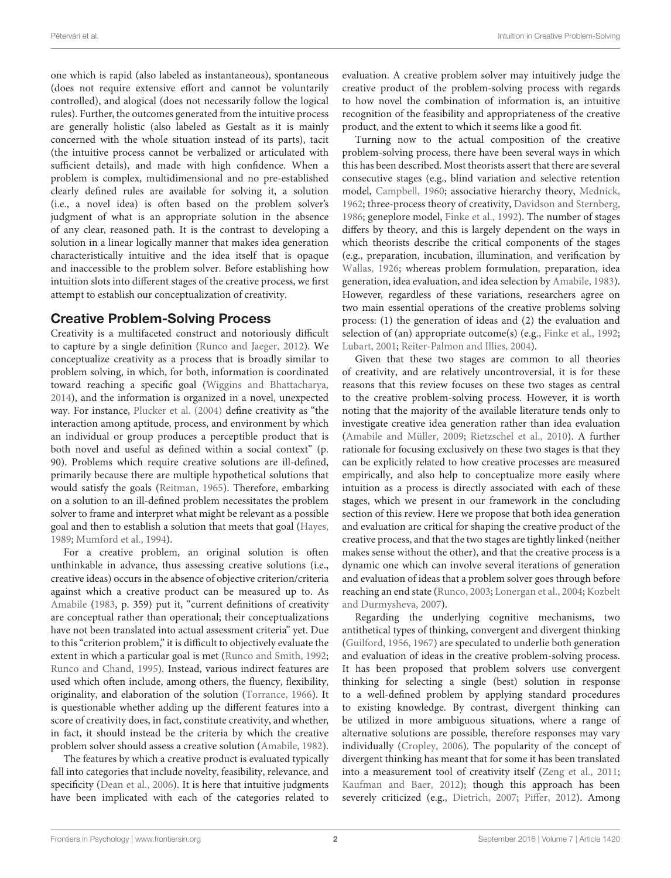one which is rapid (also labeled as instantaneous), spontaneous (does not require extensive effort and cannot be voluntarily controlled), and alogical (does not necessarily follow the logical rules). Further, the outcomes generated from the intuitive process are generally holistic (also labeled as Gestalt as it is mainly concerned with the whole situation instead of its parts), tacit (the intuitive process cannot be verbalized or articulated with sufficient details), and made with high confidence. When a problem is complex, multidimensional and no pre-established clearly defined rules are available for solving it, a solution (i.e., a novel idea) is often based on the problem solver's judgment of what is an appropriate solution in the absence of any clear, reasoned path. It is the contrast to developing a solution in a linear logically manner that makes idea generation characteristically intuitive and the idea itself that is opaque and inaccessible to the problem solver. Before establishing how intuition slots into different stages of the creative process, we first attempt to establish our conceptualization of creativity.

### Creative Problem-Solving Process

Creativity is a multifaceted construct and notoriously difficult to capture by a single definition [\(Runco and Jaeger,](#page-10-8) [2012\)](#page-10-8). We conceptualize creativity as a process that is broadly similar to problem solving, in which, for both, information is coordinated toward reaching a specific goal [\(Wiggins and Bhattacharya,](#page-11-0) [2014\)](#page-11-0), and the information is organized in a novel, unexpected way. For instance, [Plucker et al.](#page-10-9) [\(2004\)](#page-10-9) define creativity as "the interaction among aptitude, process, and environment by which an individual or group produces a perceptible product that is both novel and useful as defined within a social context" (p. 90). Problems which require creative solutions are ill-defined, primarily because there are multiple hypothetical solutions that would satisfy the goals [\(Reitman,](#page-10-10) [1965\)](#page-10-10). Therefore, embarking on a solution to an ill-defined problem necessitates the problem solver to frame and interpret what might be relevant as a possible goal and then to establish a solution that meets that goal [\(Hayes,](#page-10-11) [1989;](#page-10-11) [Mumford et al.,](#page-10-12) [1994\)](#page-10-12).

For a creative problem, an original solution is often unthinkable in advance, thus assessing creative solutions (i.e., creative ideas) occurs in the absence of objective criterion/criteria against which a creative product can be measured up to. As [Amabile](#page-9-2) [\(1983,](#page-9-2) p. 359) put it, "current definitions of creativity are conceptual rather than operational; their conceptualizations have not been translated into actual assessment criteria" yet. Due to this "criterion problem," it is difficult to objectively evaluate the extent in which a particular goal is met [\(Runco and Smith,](#page-10-13) [1992;](#page-10-13) [Runco and Chand,](#page-10-14) [1995\)](#page-10-14). Instead, various indirect features are used which often include, among others, the fluency, flexibility, originality, and elaboration of the solution [\(Torrance,](#page-11-1) [1966\)](#page-11-1). It is questionable whether adding up the different features into a score of creativity does, in fact, constitute creativity, and whether, in fact, it should instead be the criteria by which the creative problem solver should assess a creative solution [\(Amabile,](#page-9-3) [1982\)](#page-9-3).

The features by which a creative product is evaluated typically fall into categories that include novelty, feasibility, relevance, and specificity [\(Dean et al.,](#page-9-4) [2006\)](#page-9-4). It is here that intuitive judgments have been implicated with each of the categories related to

evaluation. A creative problem solver may intuitively judge the creative product of the problem-solving process with regards to how novel the combination of information is, an intuitive recognition of the feasibility and appropriateness of the creative product, and the extent to which it seems like a good fit.

Turning now to the actual composition of the creative problem-solving process, there have been several ways in which this has been described. Most theorists assert that there are several consecutive stages (e.g., blind variation and selective retention model, [Campbell,](#page-9-5) [1960;](#page-9-5) associative hierarchy theory, [Mednick,](#page-10-15) [1962;](#page-10-15) three-process theory of creativity, [Davidson and Sternberg,](#page-9-6) [1986;](#page-9-6) geneplore model, [Finke et al.,](#page-9-7) [1992\)](#page-9-7). The number of stages differs by theory, and this is largely dependent on the ways in which theorists describe the critical components of the stages (e.g., preparation, incubation, illumination, and verification by [Wallas,](#page-11-2) [1926;](#page-11-2) whereas problem formulation, preparation, idea generation, idea evaluation, and idea selection by [Amabile,](#page-9-2) [1983\)](#page-9-2). However, regardless of these variations, researchers agree on two main essential operations of the creative problems solving process: (1) the generation of ideas and (2) the evaluation and selection of (an) appropriate outcome(s) (e.g., [Finke et al.,](#page-9-7) [1992;](#page-9-7) [Lubart,](#page-10-16) [2001;](#page-10-16) [Reiter-Palmon and Illies,](#page-10-17) [2004\)](#page-10-17).

Given that these two stages are common to all theories of creativity, and are relatively uncontroversial, it is for these reasons that this review focuses on these two stages as central to the creative problem-solving process. However, it is worth noting that the majority of the available literature tends only to investigate creative idea generation rather than idea evaluation [\(Amabile and Müller,](#page-9-8) [2009;](#page-9-8) [Rietzschel et al.,](#page-10-18) [2010\)](#page-10-18). A further rationale for focusing exclusively on these two stages is that they can be explicitly related to how creative processes are measured empirically, and also help to conceptualize more easily where intuition as a process is directly associated with each of these stages, which we present in our framework in the concluding section of this review. Here we propose that both idea generation and evaluation are critical for shaping the creative product of the creative process, and that the two stages are tightly linked (neither makes sense without the other), and that the creative process is a dynamic one which can involve several iterations of generation and evaluation of ideas that a problem solver goes through before reaching an end state [\(Runco,](#page-10-19) [2003;](#page-10-19) [Lonergan et al.,](#page-10-20) [2004;](#page-10-20) [Kozbelt](#page-10-21) [and Durmysheva,](#page-10-21) [2007\)](#page-10-21).

Regarding the underlying cognitive mechanisms, two antithetical types of thinking, convergent and divergent thinking [\(Guilford,](#page-10-22) [1956,](#page-10-22) [1967\)](#page-10-23) are speculated to underlie both generation and evaluation of ideas in the creative problem-solving process. It has been proposed that problem solvers use convergent thinking for selecting a single (best) solution in response to a well-defined problem by applying standard procedures to existing knowledge. By contrast, divergent thinking can be utilized in more ambiguous situations, where a range of alternative solutions are possible, therefore responses may vary individually [\(Cropley,](#page-9-9) [2006\)](#page-9-9). The popularity of the concept of divergent thinking has meant that for some it has been translated into a measurement tool of creativity itself [\(Zeng et al.,](#page-11-3) [2011;](#page-11-3) [Kaufman and Baer,](#page-10-24) [2012\)](#page-10-24); though this approach has been severely criticized (e.g., [Dietrich,](#page-9-10) [2007;](#page-9-10) [Piffer,](#page-10-25) [2012\)](#page-10-25). Among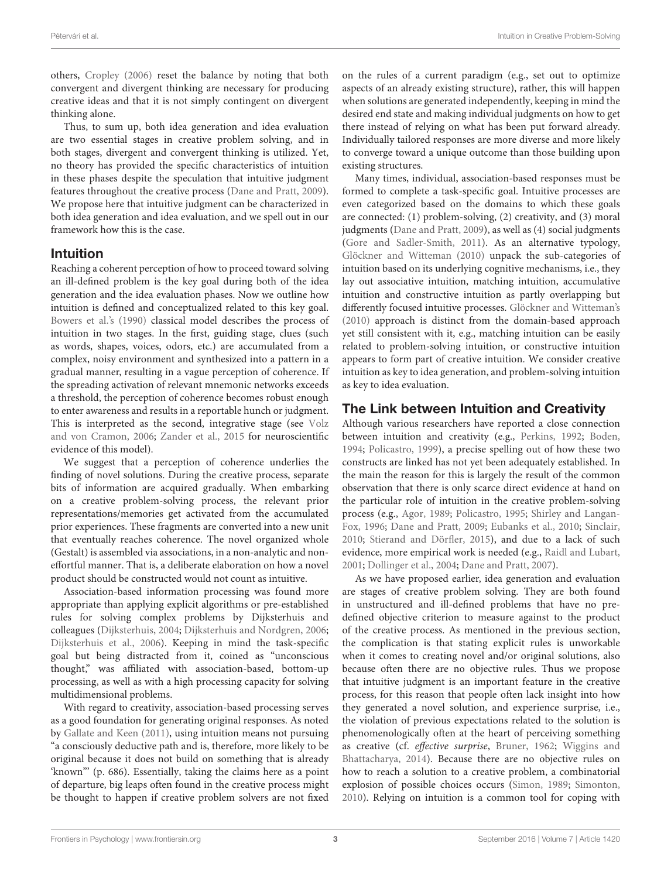others, [Cropley](#page-9-9) [\(2006\)](#page-9-9) reset the balance by noting that both convergent and divergent thinking are necessary for producing creative ideas and that it is not simply contingent on divergent thinking alone.

Thus, to sum up, both idea generation and idea evaluation are two essential stages in creative problem solving, and in both stages, divergent and convergent thinking is utilized. Yet, no theory has provided the specific characteristics of intuition in these phases despite the speculation that intuitive judgment features throughout the creative process [\(Dane and Pratt,](#page-9-11) [2009\)](#page-9-11). We propose here that intuitive judgment can be characterized in both idea generation and idea evaluation, and we spell out in our framework how this is the case.

#### Intuition

Reaching a coherent perception of how to proceed toward solving an ill-defined problem is the key goal during both of the idea generation and the idea evaluation phases. Now we outline how intuition is defined and conceptualized related to this key goal. [Bowers et al.'s](#page-9-12) [\(1990\)](#page-9-12) classical model describes the process of intuition in two stages. In the first, guiding stage, clues (such as words, shapes, voices, odors, etc.) are accumulated from a complex, noisy environment and synthesized into a pattern in a gradual manner, resulting in a vague perception of coherence. If the spreading activation of relevant mnemonic networks exceeds a threshold, the perception of coherence becomes robust enough to enter awareness and results in a reportable hunch or judgment. This is interpreted as the second, integrative stage (see [Volz](#page-11-4) [and von Cramon,](#page-11-4) [2006;](#page-11-4) [Zander et al.,](#page-11-5) [2015](#page-11-5) for neuroscientific evidence of this model).

We suggest that a perception of coherence underlies the finding of novel solutions. During the creative process, separate bits of information are acquired gradually. When embarking on a creative problem-solving process, the relevant prior representations/memories get activated from the accumulated prior experiences. These fragments are converted into a new unit that eventually reaches coherence. The novel organized whole (Gestalt) is assembled via associations, in a non-analytic and noneffortful manner. That is, a deliberate elaboration on how a novel product should be constructed would not count as intuitive.

Association-based information processing was found more appropriate than applying explicit algorithms or pre-established rules for solving complex problems by Dijksterhuis and colleagues [\(Dijksterhuis,](#page-9-13) [2004;](#page-9-13) [Dijksterhuis and Nordgren,](#page-9-14) [2006;](#page-9-14) [Dijksterhuis et al.,](#page-9-15) [2006\)](#page-9-15). Keeping in mind the task-specific goal but being distracted from it, coined as "unconscious thought," was affiliated with association-based, bottom-up processing, as well as with a high processing capacity for solving multidimensional problems.

With regard to creativity, association-based processing serves as a good foundation for generating original responses. As noted by [Gallate and Keen](#page-9-16) [\(2011\)](#page-9-16), using intuition means not pursuing "a consciously deductive path and is, therefore, more likely to be original because it does not build on something that is already 'known"' (p. 686). Essentially, taking the claims here as a point of departure, big leaps often found in the creative process might be thought to happen if creative problem solvers are not fixed

on the rules of a current paradigm (e.g., set out to optimize aspects of an already existing structure), rather, this will happen when solutions are generated independently, keeping in mind the desired end state and making individual judgments on how to get there instead of relying on what has been put forward already. Individually tailored responses are more diverse and more likely to converge toward a unique outcome than those building upon existing structures.

Many times, individual, association-based responses must be formed to complete a task-specific goal. Intuitive processes are even categorized based on the domains to which these goals are connected: (1) problem-solving, (2) creativity, and (3) moral judgments [\(Dane and Pratt,](#page-9-11) [2009\)](#page-9-11), as well as (4) social judgments [\(Gore and Sadler-Smith,](#page-10-26) [2011\)](#page-10-26). As an alternative typology, [Glöckner and Witteman](#page-10-27) [\(2010\)](#page-10-27) unpack the sub-categories of intuition based on its underlying cognitive mechanisms, i.e., they lay out associative intuition, matching intuition, accumulative intuition and constructive intuition as partly overlapping but differently focused intuitive processes. [Glöckner and Witteman's](#page-10-27) [\(2010\)](#page-10-27) approach is distinct from the domain-based approach yet still consistent with it, e.g., matching intuition can be easily related to problem-solving intuition, or constructive intuition appears to form part of creative intuition. We consider creative intuition as key to idea generation, and problem-solving intuition as key to idea evaluation.

## The Link between Intuition and Creativity

Although various researchers have reported a close connection between intuition and creativity (e.g., [Perkins,](#page-10-28) [1992;](#page-10-28) [Boden,](#page-9-17) [1994;](#page-9-17) [Policastro,](#page-10-29) [1999\)](#page-10-29), a precise spelling out of how these two constructs are linked has not yet been adequately established. In the main the reason for this is largely the result of the common observation that there is only scarce direct evidence at hand on the particular role of intuition in the creative problem-solving process (e.g., [Agor,](#page-9-18) [1989;](#page-9-18) [Policastro,](#page-10-30) [1995;](#page-10-30) [Shirley and Langan-](#page-10-31)[Fox,](#page-10-31) [1996;](#page-10-31) [Dane and Pratt,](#page-9-11) [2009;](#page-9-11) [Eubanks et al.,](#page-9-19) [2010;](#page-9-19) [Sinclair,](#page-10-5) [2010;](#page-10-5) [Stierand and Dörfler,](#page-11-6) [2015\)](#page-11-6), and due to a lack of such evidence, more empirical work is needed (e.g., [Raidl and Lubart,](#page-10-4) [2001;](#page-10-4) [Dollinger et al.,](#page-9-20) [2004;](#page-9-20) [Dane and Pratt,](#page-9-0) [2007\)](#page-9-0).

As we have proposed earlier, idea generation and evaluation are stages of creative problem solving. They are both found in unstructured and ill-defined problems that have no predefined objective criterion to measure against to the product of the creative process. As mentioned in the previous section, the complication is that stating explicit rules is unworkable when it comes to creating novel and/or original solutions, also because often there are no objective rules. Thus we propose that intuitive judgment is an important feature in the creative process, for this reason that people often lack insight into how they generated a novel solution, and experience surprise, i.e., the violation of previous expectations related to the solution is phenomenologically often at the heart of perceiving something as creative (cf. effective surprise, [Bruner,](#page-9-21) [1962;](#page-9-21) [Wiggins and](#page-11-0) [Bhattacharya,](#page-11-0) [2014\)](#page-11-0). Because there are no objective rules on how to reach a solution to a creative problem, a combinatorial explosion of possible choices occurs [\(Simon,](#page-10-32) [1989;](#page-10-32) [Simonton,](#page-10-33) [2010\)](#page-10-33). Relying on intuition is a common tool for coping with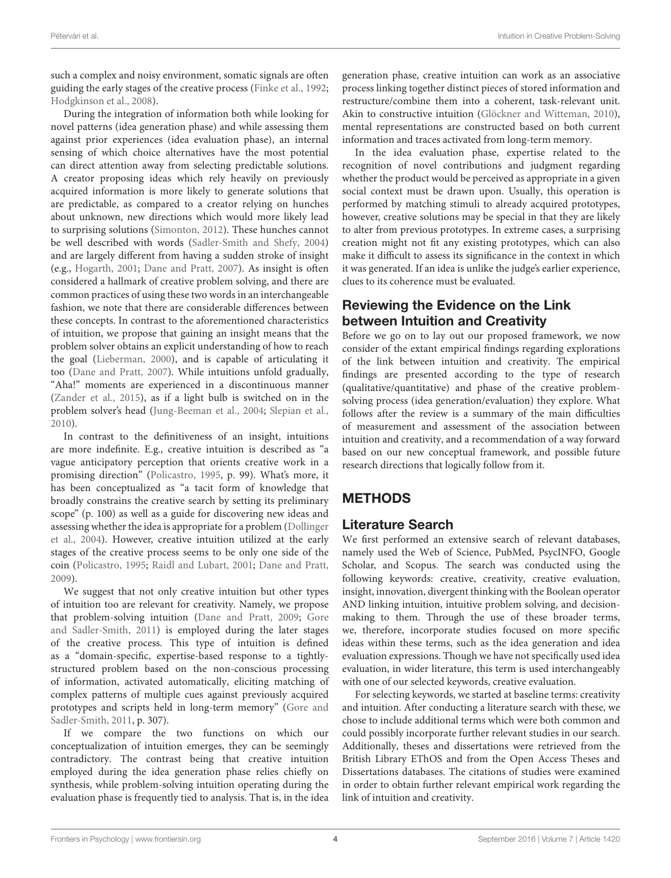such a complex and noisy environment, somatic signals are often guiding the early stages of the creative process [\(Finke et al.,](#page-9-7) [1992;](#page-9-7) [Hodgkinson et al.,](#page-10-34) [2008\)](#page-10-34).

During the integration of information both while looking for novel patterns (idea generation phase) and while assessing them against prior experiences (idea evaluation phase), an internal sensing of which choice alternatives have the most potential can direct attention away from selecting predictable solutions. A creator proposing ideas which rely heavily on previously acquired information is more likely to generate solutions that are predictable, as compared to a creator relying on hunches about unknown, new directions which would more likely lead to surprising solutions [\(Simonton,](#page-10-35) [2012\)](#page-10-35). These hunches cannot be well described with words [\(Sadler-Smith and Shefy,](#page-10-36) [2004\)](#page-10-36) and are largely different from having a sudden stroke of insight (e.g., [Hogarth,](#page-10-6) [2001;](#page-10-6) [Dane and Pratt,](#page-9-0) [2007\)](#page-9-0). As insight is often considered a hallmark of creative problem solving, and there are common practices of using these two words in an interchangeable fashion, we note that there are considerable differences between these concepts. In contrast to the aforementioned characteristics of intuition, we propose that gaining an insight means that the problem solver obtains an explicit understanding of how to reach the goal [\(Lieberman,](#page-10-37) [2000\)](#page-10-37), and is capable of articulating it too [\(Dane and Pratt,](#page-9-0) [2007\)](#page-9-0). While intuitions unfold gradually, "Aha!" moments are experienced in a discontinuous manner [\(Zander et al.,](#page-11-5) [2015\)](#page-11-5), as if a light bulb is switched on in the problem solver's head [\(Jung-Beeman et al.,](#page-10-38) [2004;](#page-10-38) [Slepian et al.,](#page-11-7) [2010\)](#page-11-7).

In contrast to the definitiveness of an insight, intuitions are more indefinite. E.g., creative intuition is described as "a vague anticipatory perception that orients creative work in a promising direction" [\(Policastro,](#page-10-30) [1995,](#page-10-30) p. 99). What's more, it has been conceptualized as "a tacit form of knowledge that broadly constrains the creative search by setting its preliminary scope" (p. 100) as well as a guide for discovering new ideas and assessing whether the idea is appropriate for a problem [\(Dollinger](#page-9-20) [et al.,](#page-9-20) [2004\)](#page-9-20). However, creative intuition utilized at the early stages of the creative process seems to be only one side of the coin [\(Policastro,](#page-10-30) [1995;](#page-10-30) [Raidl and Lubart,](#page-10-4) [2001;](#page-10-4) [Dane and Pratt,](#page-9-11) [2009\)](#page-9-11).

We suggest that not only creative intuition but other types of intuition too are relevant for creativity. Namely, we propose that problem-solving intuition [\(Dane and Pratt,](#page-9-11) [2009;](#page-9-11) [Gore](#page-10-26) [and Sadler-Smith,](#page-10-26) [2011\)](#page-10-26) is employed during the later stages of the creative process. This type of intuition is defined as a "domain-specific, expertise-based response to a tightlystructured problem based on the non-conscious processing of information, activated automatically, eliciting matching of complex patterns of multiple cues against previously acquired prototypes and scripts held in long-term memory" [\(Gore and](#page-10-26) [Sadler-Smith,](#page-10-26) [2011,](#page-10-26) p. 307).

If we compare the two functions on which our conceptualization of intuition emerges, they can be seemingly contradictory. The contrast being that creative intuition employed during the idea generation phase relies chiefly on synthesis, while problem-solving intuition operating during the evaluation phase is frequently tied to analysis. That is, in the idea

generation phase, creative intuition can work as an associative process linking together distinct pieces of stored information and restructure/combine them into a coherent, task-relevant unit. Akin to constructive intuition [\(Glöckner and Witteman,](#page-10-27) [2010\)](#page-10-27), mental representations are constructed based on both current information and traces activated from long-term memory.

In the idea evaluation phase, expertise related to the recognition of novel contributions and judgment regarding whether the product would be perceived as appropriate in a given social context must be drawn upon. Usually, this operation is performed by matching stimuli to already acquired prototypes, however, creative solutions may be special in that they are likely to alter from previous prototypes. In extreme cases, a surprising creation might not fit any existing prototypes, which can also make it difficult to assess its significance in the context in which it was generated. If an idea is unlike the judge's earlier experience, clues to its coherence must be evaluated.

## Reviewing the Evidence on the Link between Intuition and Creativity

Before we go on to lay out our proposed framework, we now consider of the extant empirical findings regarding explorations of the link between intuition and creativity. The empirical findings are presented according to the type of research (qualitative/quantitative) and phase of the creative problemsolving process (idea generation/evaluation) they explore. What follows after the review is a summary of the main difficulties of measurement and assessment of the association between intuition and creativity, and a recommendation of a way forward based on our new conceptual framework, and possible future research directions that logically follow from it.

# METHODS

### Literature Search

We first performed an extensive search of relevant databases, namely used the Web of Science, PubMed, PsycINFO, Google Scholar, and Scopus. The search was conducted using the following keywords: creative, creativity, creative evaluation, insight, innovation, divergent thinking with the Boolean operator AND linking intuition, intuitive problem solving, and decisionmaking to them. Through the use of these broader terms, we, therefore, incorporate studies focused on more specific ideas within these terms, such as the idea generation and idea evaluation expressions. Though we have not specifically used idea evaluation, in wider literature, this term is used interchangeably with one of our selected keywords, creative evaluation.

For selecting keywords, we started at baseline terms: creativity and intuition. After conducting a literature search with these, we chose to include additional terms which were both common and could possibly incorporate further relevant studies in our search. Additionally, theses and dissertations were retrieved from the British Library EThOS and from the Open Access Theses and Dissertations databases. The citations of studies were examined in order to obtain further relevant empirical work regarding the link of intuition and creativity.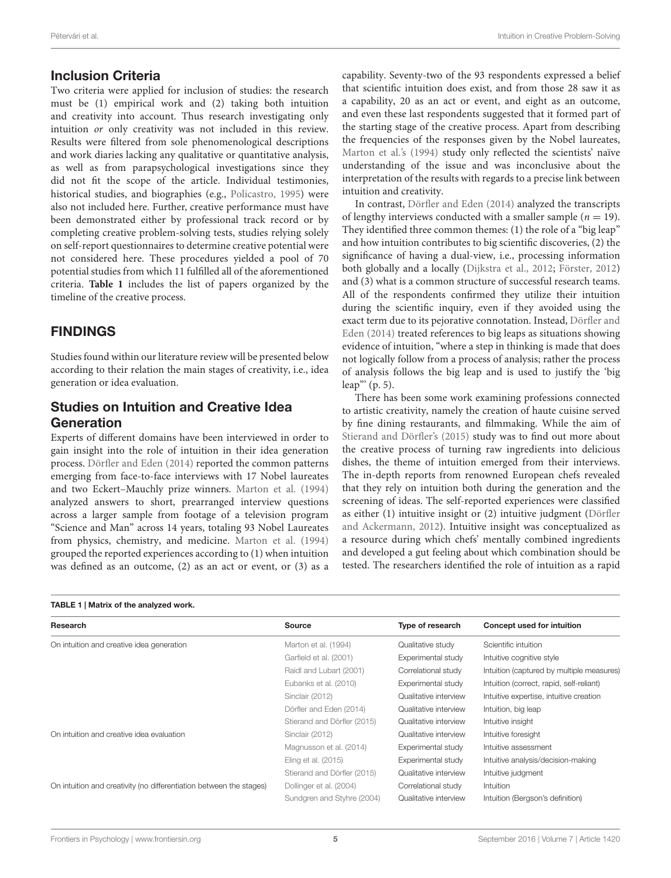#### Inclusion Criteria

Two criteria were applied for inclusion of studies: the research must be (1) empirical work and (2) taking both intuition and creativity into account. Thus research investigating only intuition or only creativity was not included in this review. Results were filtered from sole phenomenological descriptions and work diaries lacking any qualitative or quantitative analysis, as well as from parapsychological investigations since they did not fit the scope of the article. Individual testimonies, historical studies, and biographies (e.g., [Policastro,](#page-10-30) [1995\)](#page-10-30) were also not included here. Further, creative performance must have been demonstrated either by professional track record or by completing creative problem-solving tests, studies relying solely on self-report questionnaires to determine creative potential were not considered here. These procedures yielded a pool of 70 potential studies from which 11 fulfilled all of the aforementioned criteria. **[Table 1](#page-4-0)** includes the list of papers organized by the timeline of the creative process.

### FINDINGS

Studies found within our literature review will be presented below according to their relation the main stages of creativity, i.e., idea generation or idea evaluation.

### Studies on Intuition and Creative Idea **Generation**

Experts of different domains have been interviewed in order to gain insight into the role of intuition in their idea generation process. [Dörfler and Eden](#page-9-22) [\(2014\)](#page-9-22) reported the common patterns emerging from face-to-face interviews with 17 Nobel laureates and two Eckert–Mauchly prize winners. [Marton et al.](#page-10-39) [\(1994\)](#page-10-39) analyzed answers to short, prearranged interview questions across a larger sample from footage of a television program "Science and Man" across 14 years, totaling 93 Nobel Laureates from physics, chemistry, and medicine. [Marton et al.](#page-10-39) [\(1994\)](#page-10-39) grouped the reported experiences according to (1) when intuition was defined as an outcome, (2) as an act or event, or (3) as a

capability. Seventy-two of the 93 respondents expressed a belief that scientific intuition does exist, and from those 28 saw it as a capability, 20 as an act or event, and eight as an outcome, and even these last respondents suggested that it formed part of the starting stage of the creative process. Apart from describing the frequencies of the responses given by the Nobel laureates, [Marton et al.'s](#page-10-39) [\(1994\)](#page-10-39) study only reflected the scientists' naïve understanding of the issue and was inconclusive about the interpretation of the results with regards to a precise link between intuition and creativity.

In contrast, [Dörfler and Eden](#page-9-22) [\(2014\)](#page-9-22) analyzed the transcripts of lengthy interviews conducted with a smaller sample ( $n = 19$ ). They identified three common themes: (1) the role of a "big leap" and how intuition contributes to big scientific discoveries, (2) the significance of having a dual-view, i.e., processing information both globally and a locally [\(Dijkstra et al.,](#page-9-23) [2012;](#page-9-23) [Förster,](#page-9-24) [2012\)](#page-9-24) and (3) what is a common structure of successful research teams. All of the respondents confirmed they utilize their intuition during the scientific inquiry, even if they avoided using the exact term due to its pejorative connotation. Instead, [Dörfler and](#page-9-22) [Eden](#page-9-22) [\(2014\)](#page-9-22) treated references to big leaps as situations showing evidence of intuition, "where a step in thinking is made that does not logically follow from a process of analysis; rather the process of analysis follows the big leap and is used to justify the 'big leap"' (p. 5).

There has been some work examining professions connected to artistic creativity, namely the creation of haute cuisine served by fine dining restaurants, and filmmaking. While the aim of [Stierand and Dörfler'](#page-11-6)s [\(2015\)](#page-11-6) study was to find out more about the creative process of turning raw ingredients into delicious dishes, the theme of intuition emerged from their interviews. The in-depth reports from renowned European chefs revealed that they rely on intuition both during the generation and the screening of ideas. The self-reported experiences were classified as either (1) intuitive insight or (2) intuitive judgment [\(Dörfler](#page-9-1) [and Ackermann,](#page-9-1) [2012\)](#page-9-1). Intuitive insight was conceptualized as a resource during which chefs' mentally combined ingredients and developed a gut feeling about which combination should be tested. The researchers identified the role of intuition as a rapid

<span id="page-4-0"></span>

| TABLE 1   Matrix of the analyzed work.                              |                             |                       |                                           |
|---------------------------------------------------------------------|-----------------------------|-----------------------|-------------------------------------------|
| Research                                                            | <b>Source</b>               | Type of research      | <b>Concept used for intuition</b>         |
| On intuition and creative idea generation                           | Marton et al. (1994)        | Qualitative study     | Scientific intuition                      |
|                                                                     | Garfield et al. (2001)      | Experimental study    | Intuitive cognitive style                 |
|                                                                     | Raidl and Lubart (2001)     | Correlational study   | Intuition (captured by multiple measures) |
|                                                                     | Eubanks et al. (2010)       | Experimental study    | Intuition (correct, rapid, self-reliant)  |
|                                                                     | Sinclair (2012)             | Qualitative interview | Intuitive expertise, intuitive creation   |
|                                                                     | Dörfler and Eden (2014)     | Qualitative interview | Intuition, big leap                       |
|                                                                     | Stierand and Dörfler (2015) | Qualitative interview | Intuitive insight                         |
| On intuition and creative idea evaluation                           | Sinclair (2012)             | Qualitative interview | Intuitive foresight                       |
|                                                                     | Magnusson et al. (2014)     | Experimental study    | Intuitive assessment                      |
|                                                                     | Eling et al. (2015)         | Experimental study    | Intuitive analysis/decision-making        |
|                                                                     | Stierand and Dörfler (2015) | Qualitative interview | Intuitive judgment                        |
| On intuition and creativity (no differentiation between the stages) | Dollinger et al. (2004)     | Correlational study   | Intuition                                 |
|                                                                     | Sundgren and Styhre (2004)  | Qualitative interview | Intuition (Bergson's definition)          |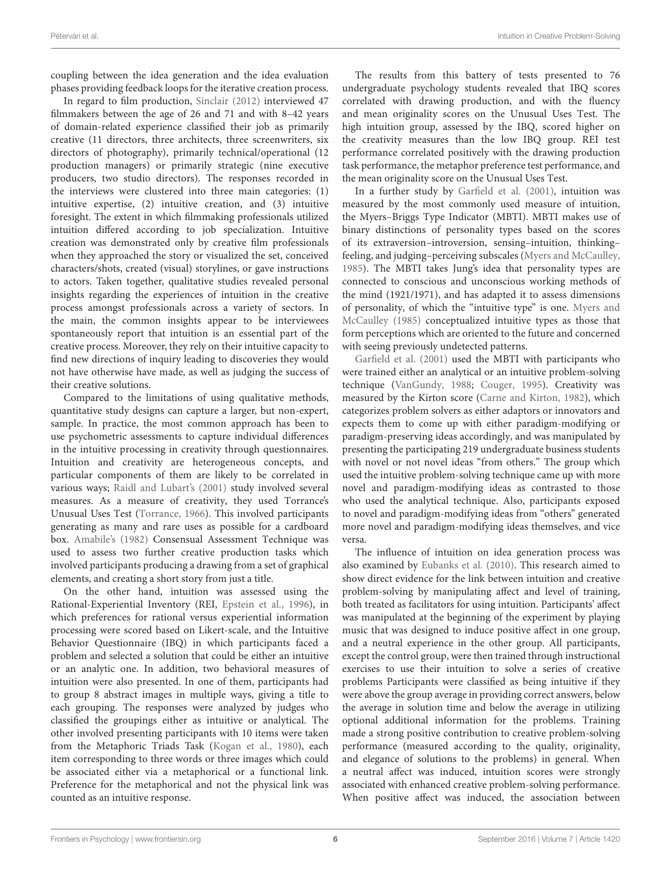coupling between the idea generation and the idea evaluation phases providing feedback loops for the iterative creation process.

In regard to film production, [Sinclair](#page-10-41) [\(2012\)](#page-10-41) interviewed 47 filmmakers between the age of 26 and 71 and with 8–42 years of domain-related experience classified their job as primarily creative (11 directors, three architects, three screenwriters, six directors of photography), primarily technical/operational (12 production managers) or primarily strategic (nine executive producers, two studio directors). The responses recorded in the interviews were clustered into three main categories: (1) intuitive expertise, (2) intuitive creation, and (3) intuitive foresight. The extent in which filmmaking professionals utilized intuition differed according to job specialization. Intuitive creation was demonstrated only by creative film professionals when they approached the story or visualized the set, conceived characters/shots, created (visual) storylines, or gave instructions to actors. Taken together, qualitative studies revealed personal insights regarding the experiences of intuition in the creative process amongst professionals across a variety of sectors. In the main, the common insights appear to be interviewees spontaneously report that intuition is an essential part of the creative process. Moreover, they rely on their intuitive capacity to find new directions of inquiry leading to discoveries they would not have otherwise have made, as well as judging the success of their creative solutions.

Compared to the limitations of using qualitative methods, quantitative study designs can capture a larger, but non-expert, sample. In practice, the most common approach has been to use psychometric assessments to capture individual differences in the intuitive processing in creativity through questionnaires. Intuition and creativity are heterogeneous concepts, and particular components of them are likely to be correlated in various ways; [Raidl and Lubart'](#page-10-4)s [\(2001\)](#page-10-4) study involved several measures. As a measure of creativity, they used Torrance's Unusual Uses Test [\(Torrance,](#page-11-1) [1966\)](#page-11-1). This involved participants generating as many and rare uses as possible for a cardboard box. [Amabile'](#page-9-3)s [\(1982\)](#page-9-3) Consensual Assessment Technique was used to assess two further creative production tasks which involved participants producing a drawing from a set of graphical elements, and creating a short story from just a title.

On the other hand, intuition was assessed using the Rational-Experiential Inventory (REI, [Epstein et al.,](#page-9-26) [1996\)](#page-9-26), in which preferences for rational versus experiential information processing were scored based on Likert-scale, and the Intuitive Behavior Questionnaire (IBQ) in which participants faced a problem and selected a solution that could be either an intuitive or an analytic one. In addition, two behavioral measures of intuition were also presented. In one of them, participants had to group 8 abstract images in multiple ways, giving a title to each grouping. The responses were analyzed by judges who classified the groupings either as intuitive or analytical. The other involved presenting participants with 10 items were taken from the Metaphoric Triads Task [\(Kogan et al.,](#page-10-43) [1980\)](#page-10-43), each item corresponding to three words or three images which could be associated either via a metaphorical or a functional link. Preference for the metaphorical and not the physical link was counted as an intuitive response.

The results from this battery of tests presented to 76 undergraduate psychology students revealed that IBQ scores correlated with drawing production, and with the fluency and mean originality scores on the Unusual Uses Test. The high intuition group, assessed by the IBQ, scored higher on the creativity measures than the low IBQ group. REI test performance correlated positively with the drawing production task performance, the metaphor preference test performance, and the mean originality score on the Unusual Uses Test.

In a further study by [Garfield et al.](#page-10-40) [\(2001\)](#page-10-40), intuition was measured by the most commonly used measure of intuition, the Myers–Briggs Type Indicator (MBTI). MBTI makes use of binary distinctions of personality types based on the scores of its extraversion–introversion, sensing–intuition, thinking– feeling, and judging–perceiving subscales [\(Myers and McCaulley,](#page-10-44) [1985\)](#page-10-44). The MBTI takes Jung's idea that personality types are connected to conscious and unconscious working methods of the mind (1921/1971), and has adapted it to assess dimensions of personality, of which the "intuitive type" is one. [Myers and](#page-10-44) [McCaulley](#page-10-44) [\(1985\)](#page-10-44) conceptualized intuitive types as those that form perceptions which are oriented to the future and concerned with seeing previously undetected patterns.

[Garfield et al.](#page-10-40) [\(2001\)](#page-10-40) used the MBTI with participants who were trained either an analytical or an intuitive problem-solving technique [\(VanGundy,](#page-11-9) [1988;](#page-11-9) [Couger,](#page-9-27) [1995\)](#page-9-27). Creativity was measured by the Kirton score [\(Carne and Kirton,](#page-9-28) [1982\)](#page-9-28), which categorizes problem solvers as either adaptors or innovators and expects them to come up with either paradigm-modifying or paradigm-preserving ideas accordingly, and was manipulated by presenting the participating 219 undergraduate business students with novel or not novel ideas "from others." The group which used the intuitive problem-solving technique came up with more novel and paradigm-modifying ideas as contrasted to those who used the analytical technique. Also, participants exposed to novel and paradigm-modifying ideas from "others" generated more novel and paradigm-modifying ideas themselves, and vice versa.

The influence of intuition on idea generation process was also examined by [Eubanks et al.](#page-9-19) [\(2010\)](#page-9-19). This research aimed to show direct evidence for the link between intuition and creative problem-solving by manipulating affect and level of training, both treated as facilitators for using intuition. Participants' affect was manipulated at the beginning of the experiment by playing music that was designed to induce positive affect in one group, and a neutral experience in the other group. All participants, except the control group, were then trained through instructional exercises to use their intuition to solve a series of creative problems Participants were classified as being intuitive if they were above the group average in providing correct answers, below the average in solution time and below the average in utilizing optional additional information for the problems. Training made a strong positive contribution to creative problem-solving performance (measured according to the quality, originality, and elegance of solutions to the problems) in general. When a neutral affect was induced, intuition scores were strongly associated with enhanced creative problem-solving performance. When positive affect was induced, the association between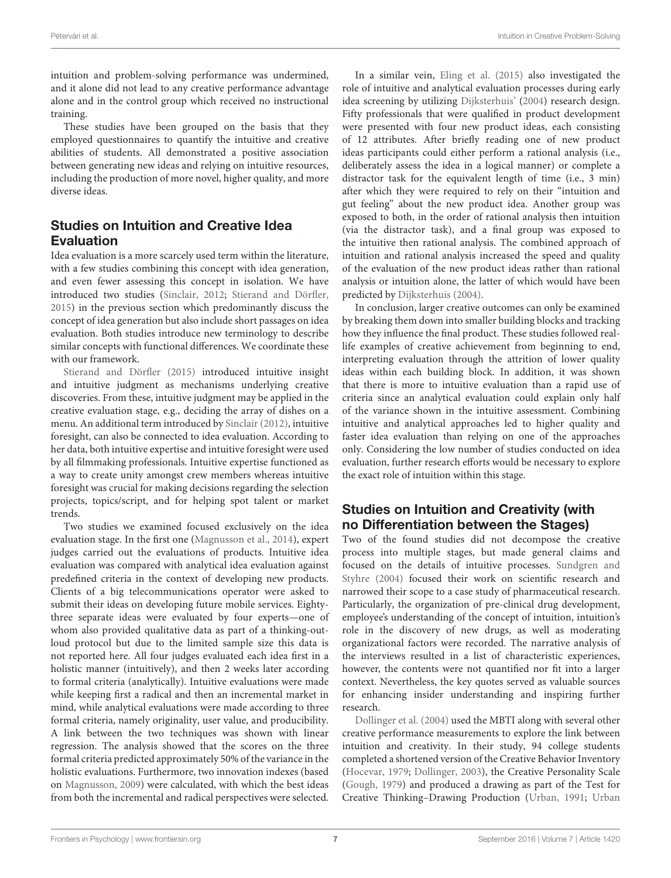intuition and problem-solving performance was undermined, and it alone did not lead to any creative performance advantage alone and in the control group which received no instructional training.

These studies have been grouped on the basis that they employed questionnaires to quantify the intuitive and creative abilities of students. All demonstrated a positive association between generating new ideas and relying on intuitive resources, including the production of more novel, higher quality, and more diverse ideas.

# Studies on Intuition and Creative Idea Evaluation

Idea evaluation is a more scarcely used term within the literature, with a few studies combining this concept with idea generation, and even fewer assessing this concept in isolation. We have introduced two studies [\(Sinclair,](#page-10-41) [2012;](#page-10-41) [Stierand and Dörfler,](#page-11-6) [2015\)](#page-11-6) in the previous section which predominantly discuss the concept of idea generation but also include short passages on idea evaluation. Both studies introduce new terminology to describe similar concepts with functional differences. We coordinate these with our framework.

[Stierand and Dörfler](#page-11-6) [\(2015\)](#page-11-6) introduced intuitive insight and intuitive judgment as mechanisms underlying creative discoveries. From these, intuitive judgment may be applied in the creative evaluation stage, e.g., deciding the array of dishes on a menu. An additional term introduced by [Sinclair](#page-10-41) [\(2012\)](#page-10-41), intuitive foresight, can also be connected to idea evaluation. According to her data, both intuitive expertise and intuitive foresight were used by all filmmaking professionals. Intuitive expertise functioned as a way to create unity amongst crew members whereas intuitive foresight was crucial for making decisions regarding the selection projects, topics/script, and for helping spot talent or market trends.

Two studies we examined focused exclusively on the idea evaluation stage. In the first one [\(Magnusson et al.,](#page-10-42) [2014\)](#page-10-42), expert judges carried out the evaluations of products. Intuitive idea evaluation was compared with analytical idea evaluation against predefined criteria in the context of developing new products. Clients of a big telecommunications operator were asked to submit their ideas on developing future mobile services. Eightythree separate ideas were evaluated by four experts—one of whom also provided qualitative data as part of a thinking-outloud protocol but due to the limited sample size this data is not reported here. All four judges evaluated each idea first in a holistic manner (intuitively), and then 2 weeks later according to formal criteria (analytically). Intuitive evaluations were made while keeping first a radical and then an incremental market in mind, while analytical evaluations were made according to three formal criteria, namely originality, user value, and producibility. A link between the two techniques was shown with linear regression. The analysis showed that the scores on the three formal criteria predicted approximately 50% of the variance in the holistic evaluations. Furthermore, two innovation indexes (based on [Magnusson,](#page-10-45) [2009\)](#page-10-45) were calculated, with which the best ideas from both the incremental and radical perspectives were selected.

In a similar vein, [Eling et al.](#page-9-25) [\(2015\)](#page-9-25) also investigated the role of intuitive and analytical evaluation processes during early idea screening by utilizing [Dijksterhuis'](#page-9-13) [\(2004\)](#page-9-13) research design. Fifty professionals that were qualified in product development were presented with four new product ideas, each consisting of 12 attributes. After briefly reading one of new product ideas participants could either perform a rational analysis (i.e., deliberately assess the idea in a logical manner) or complete a distractor task for the equivalent length of time (i.e., 3 min) after which they were required to rely on their "intuition and gut feeling" about the new product idea. Another group was exposed to both, in the order of rational analysis then intuition (via the distractor task), and a final group was exposed to the intuitive then rational analysis. The combined approach of intuition and rational analysis increased the speed and quality of the evaluation of the new product ideas rather than rational analysis or intuition alone, the latter of which would have been predicted by [Dijksterhuis](#page-9-13) [\(2004\)](#page-9-13).

In conclusion, larger creative outcomes can only be examined by breaking them down into smaller building blocks and tracking how they influence the final product. These studies followed reallife examples of creative achievement from beginning to end, interpreting evaluation through the attrition of lower quality ideas within each building block. In addition, it was shown that there is more to intuitive evaluation than a rapid use of criteria since an analytical evaluation could explain only half of the variance shown in the intuitive assessment. Combining intuitive and analytical approaches led to higher quality and faster idea evaluation than relying on one of the approaches only. Considering the low number of studies conducted on idea evaluation, further research efforts would be necessary to explore the exact role of intuition within this stage.

### Studies on Intuition and Creativity (with no Differentiation between the Stages)

Two of the found studies did not decompose the creative process into multiple stages, but made general claims and focused on the details of intuitive processes. [Sundgren and](#page-11-8) [Styhre](#page-11-8) [\(2004\)](#page-11-8) focused their work on scientific research and narrowed their scope to a case study of pharmaceutical research. Particularly, the organization of pre-clinical drug development, employee's understanding of the concept of intuition, intuition's role in the discovery of new drugs, as well as moderating organizational factors were recorded. The narrative analysis of the interviews resulted in a list of characteristic experiences, however, the contents were not quantified nor fit into a larger context. Nevertheless, the key quotes served as valuable sources for enhancing insider understanding and inspiring further research.

[Dollinger et al.](#page-9-20) [\(2004\)](#page-9-20) used the MBTI along with several other creative performance measurements to explore the link between intuition and creativity. In their study, 94 college students completed a shortened version of the Creative Behavior Inventory [\(Hocevar,](#page-10-46) [1979;](#page-10-46) [Dollinger,](#page-9-29) [2003\)](#page-9-29), the Creative Personality Scale [\(Gough,](#page-10-47) [1979\)](#page-10-47) and produced a drawing as part of the Test for Creative Thinking–Drawing Production [\(Urban,](#page-11-10) [1991;](#page-11-10) [Urban](#page-11-11)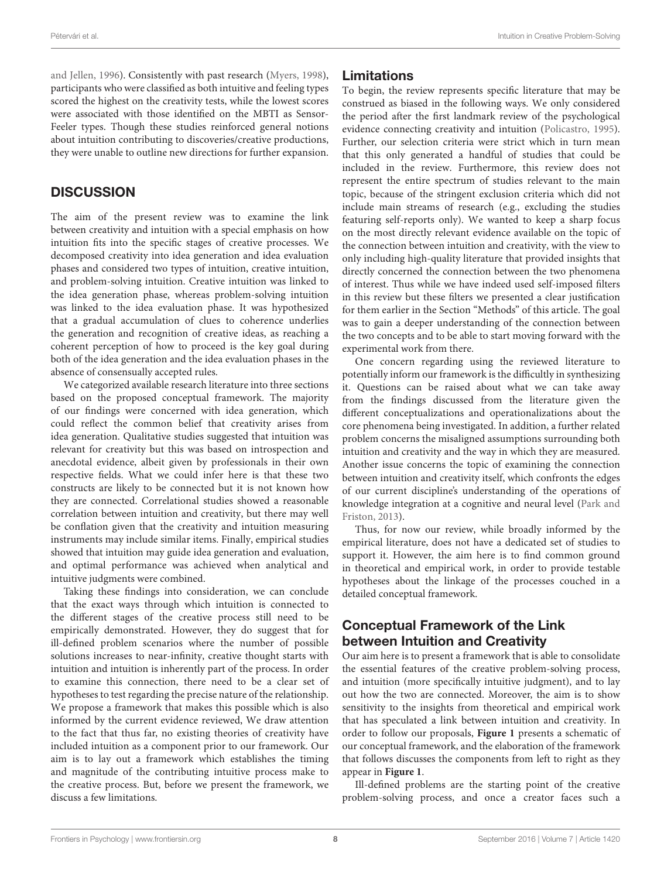[and Jellen,](#page-11-11) [1996\)](#page-11-11). Consistently with past research [\(Myers,](#page-10-48) [1998\)](#page-10-48), participants who were classified as both intuitive and feeling types scored the highest on the creativity tests, while the lowest scores were associated with those identified on the MBTI as Sensor-Feeler types. Though these studies reinforced general notions about intuition contributing to discoveries/creative productions, they were unable to outline new directions for further expansion.

### **DISCUSSION**

The aim of the present review was to examine the link between creativity and intuition with a special emphasis on how intuition fits into the specific stages of creative processes. We decomposed creativity into idea generation and idea evaluation phases and considered two types of intuition, creative intuition, and problem-solving intuition. Creative intuition was linked to the idea generation phase, whereas problem-solving intuition was linked to the idea evaluation phase. It was hypothesized that a gradual accumulation of clues to coherence underlies the generation and recognition of creative ideas, as reaching a coherent perception of how to proceed is the key goal during both of the idea generation and the idea evaluation phases in the absence of consensually accepted rules.

We categorized available research literature into three sections based on the proposed conceptual framework. The majority of our findings were concerned with idea generation, which could reflect the common belief that creativity arises from idea generation. Qualitative studies suggested that intuition was relevant for creativity but this was based on introspection and anecdotal evidence, albeit given by professionals in their own respective fields. What we could infer here is that these two constructs are likely to be connected but it is not known how they are connected. Correlational studies showed a reasonable correlation between intuition and creativity, but there may well be conflation given that the creativity and intuition measuring instruments may include similar items. Finally, empirical studies showed that intuition may guide idea generation and evaluation, and optimal performance was achieved when analytical and intuitive judgments were combined.

Taking these findings into consideration, we can conclude that the exact ways through which intuition is connected to the different stages of the creative process still need to be empirically demonstrated. However, they do suggest that for ill-defined problem scenarios where the number of possible solutions increases to near-infinity, creative thought starts with intuition and intuition is inherently part of the process. In order to examine this connection, there need to be a clear set of hypotheses to test regarding the precise nature of the relationship. We propose a framework that makes this possible which is also informed by the current evidence reviewed, We draw attention to the fact that thus far, no existing theories of creativity have included intuition as a component prior to our framework. Our aim is to lay out a framework which establishes the timing and magnitude of the contributing intuitive process make to the creative process. But, before we present the framework, we discuss a few limitations.

#### Limitations

To begin, the review represents specific literature that may be construed as biased in the following ways. We only considered the period after the first landmark review of the psychological evidence connecting creativity and intuition [\(Policastro,](#page-10-30) [1995\)](#page-10-30). Further, our selection criteria were strict which in turn mean that this only generated a handful of studies that could be included in the review. Furthermore, this review does not represent the entire spectrum of studies relevant to the main topic, because of the stringent exclusion criteria which did not include main streams of research (e.g., excluding the studies featuring self-reports only). We wanted to keep a sharp focus on the most directly relevant evidence available on the topic of the connection between intuition and creativity, with the view to only including high-quality literature that provided insights that directly concerned the connection between the two phenomena of interest. Thus while we have indeed used self-imposed filters in this review but these filters we presented a clear justification for them earlier in the Section "Methods" of this article. The goal was to gain a deeper understanding of the connection between the two concepts and to be able to start moving forward with the experimental work from there.

One concern regarding using the reviewed literature to potentially inform our framework is the difficultly in synthesizing it. Questions can be raised about what we can take away from the findings discussed from the literature given the different conceptualizations and operationalizations about the core phenomena being investigated. In addition, a further related problem concerns the misaligned assumptions surrounding both intuition and creativity and the way in which they are measured. Another issue concerns the topic of examining the connection between intuition and creativity itself, which confronts the edges of our current discipline's understanding of the operations of knowledge integration at a cognitive and neural level [\(Park and](#page-10-49) [Friston,](#page-10-49) [2013\)](#page-10-49).

Thus, for now our review, while broadly informed by the empirical literature, does not have a dedicated set of studies to support it. However, the aim here is to find common ground in theoretical and empirical work, in order to provide testable hypotheses about the linkage of the processes couched in a detailed conceptual framework.

# Conceptual Framework of the Link between Intuition and Creativity

Our aim here is to present a framework that is able to consolidate the essential features of the creative problem-solving process, and intuition (more specifically intuitive judgment), and to lay out how the two are connected. Moreover, the aim is to show sensitivity to the insights from theoretical and empirical work that has speculated a link between intuition and creativity. In order to follow our proposals, **[Figure 1](#page-8-0)** presents a schematic of our conceptual framework, and the elaboration of the framework that follows discusses the components from left to right as they appear in **[Figure 1](#page-8-0)**.

Ill-defined problems are the starting point of the creative problem-solving process, and once a creator faces such a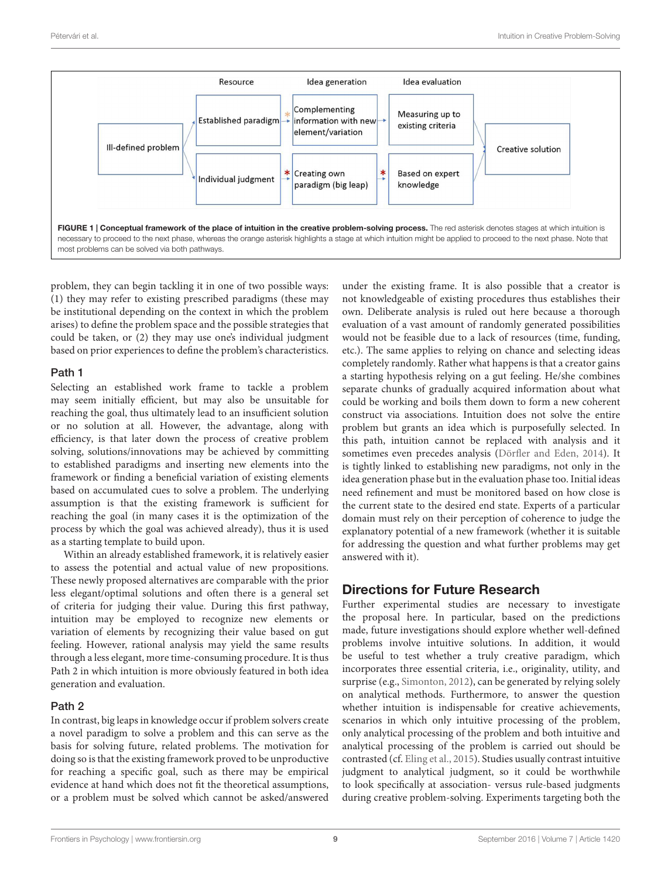

<span id="page-8-0"></span>problem, they can begin tackling it in one of two possible ways: (1) they may refer to existing prescribed paradigms (these may be institutional depending on the context in which the problem arises) to define the problem space and the possible strategies that could be taken, or (2) they may use one's individual judgment based on prior experiences to define the problem's characteristics.

#### Path 1

Selecting an established work frame to tackle a problem may seem initially efficient, but may also be unsuitable for reaching the goal, thus ultimately lead to an insufficient solution or no solution at all. However, the advantage, along with efficiency, is that later down the process of creative problem solving, solutions/innovations may be achieved by committing to established paradigms and inserting new elements into the framework or finding a beneficial variation of existing elements based on accumulated cues to solve a problem. The underlying assumption is that the existing framework is sufficient for reaching the goal (in many cases it is the optimization of the process by which the goal was achieved already), thus it is used as a starting template to build upon.

Within an already established framework, it is relatively easier to assess the potential and actual value of new propositions. These newly proposed alternatives are comparable with the prior less elegant/optimal solutions and often there is a general set of criteria for judging their value. During this first pathway, intuition may be employed to recognize new elements or variation of elements by recognizing their value based on gut feeling. However, rational analysis may yield the same results through a less elegant, more time-consuming procedure. It is thus Path 2 in which intuition is more obviously featured in both idea generation and evaluation.

#### Path 2

In contrast, big leaps in knowledge occur if problem solvers create a novel paradigm to solve a problem and this can serve as the basis for solving future, related problems. The motivation for doing so is that the existing framework proved to be unproductive for reaching a specific goal, such as there may be empirical evidence at hand which does not fit the theoretical assumptions, or a problem must be solved which cannot be asked/answered

under the existing frame. It is also possible that a creator is not knowledgeable of existing procedures thus establishes their own. Deliberate analysis is ruled out here because a thorough evaluation of a vast amount of randomly generated possibilities would not be feasible due to a lack of resources (time, funding, etc.). The same applies to relying on chance and selecting ideas completely randomly. Rather what happens is that a creator gains a starting hypothesis relying on a gut feeling. He/she combines separate chunks of gradually acquired information about what could be working and boils them down to form a new coherent construct via associations. Intuition does not solve the entire problem but grants an idea which is purposefully selected. In this path, intuition cannot be replaced with analysis and it sometimes even precedes analysis [\(Dörfler and Eden,](#page-9-22) [2014\)](#page-9-22). It is tightly linked to establishing new paradigms, not only in the idea generation phase but in the evaluation phase too. Initial ideas need refinement and must be monitored based on how close is the current state to the desired end state. Experts of a particular domain must rely on their perception of coherence to judge the explanatory potential of a new framework (whether it is suitable for addressing the question and what further problems may get answered with it).

# Directions for Future Research

Further experimental studies are necessary to investigate the proposal here. In particular, based on the predictions made, future investigations should explore whether well-defined problems involve intuitive solutions. In addition, it would be useful to test whether a truly creative paradigm, which incorporates three essential criteria, i.e., originality, utility, and surprise (e.g., [Simonton,](#page-10-35) [2012\)](#page-10-35), can be generated by relying solely on analytical methods. Furthermore, to answer the question whether intuition is indispensable for creative achievements, scenarios in which only intuitive processing of the problem, only analytical processing of the problem and both intuitive and analytical processing of the problem is carried out should be contrasted (cf. [Eling et al.,](#page-9-25) [2015\)](#page-9-25). Studies usually contrast intuitive judgment to analytical judgment, so it could be worthwhile to look specifically at association- versus rule-based judgments during creative problem-solving. Experiments targeting both the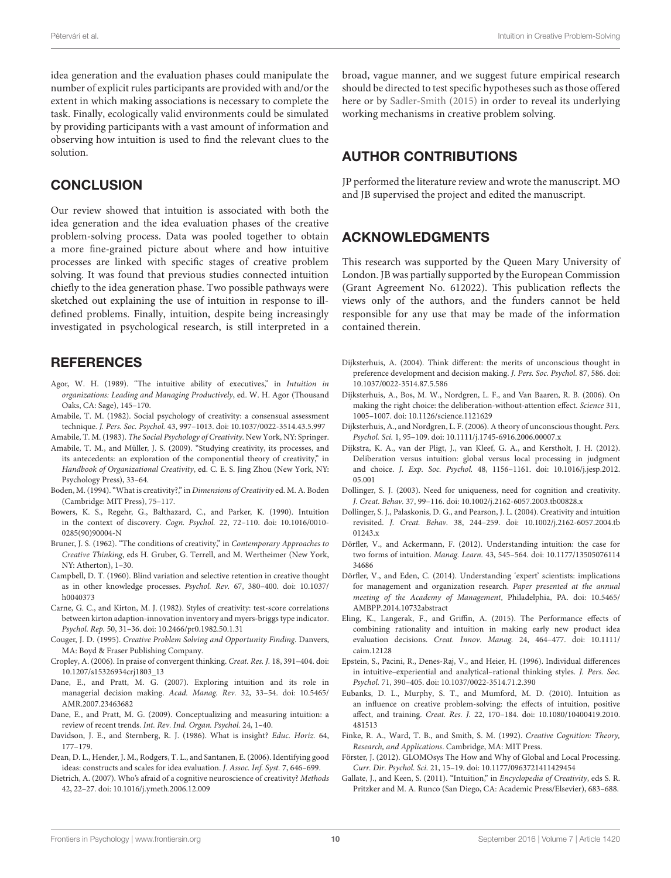idea generation and the evaluation phases could manipulate the number of explicit rules participants are provided with and/or the extent in which making associations is necessary to complete the task. Finally, ecologically valid environments could be simulated by providing participants with a vast amount of information and observing how intuition is used to find the relevant clues to the solution.

#### **CONCLUSION**

Our review showed that intuition is associated with both the idea generation and the idea evaluation phases of the creative problem-solving process. Data was pooled together to obtain a more fine-grained picture about where and how intuitive processes are linked with specific stages of creative problem solving. It was found that previous studies connected intuition chiefly to the idea generation phase. Two possible pathways were sketched out explaining the use of intuition in response to illdefined problems. Finally, intuition, despite being increasingly investigated in psychological research, is still interpreted in a

#### **REFERENCES**

- <span id="page-9-18"></span>Agor, W. H. (1989). "The intuitive ability of executives," in Intuition in organizations: Leading and Managing Productively, ed. W. H. Agor (Thousand Oaks, CA: Sage), 145–170.
- <span id="page-9-3"></span>Amabile, T. M. (1982). Social psychology of creativity: a consensual assessment technique. J. Pers. Soc. Psychol. 43, 997–1013. doi: 10.1037/0022-3514.43.5.997

<span id="page-9-2"></span>Amabile, T. M. (1983). The Social Psychology of Creativity. New York, NY: Springer.

- <span id="page-9-8"></span>Amabile, T. M., and Müller, J. S. (2009). "Studying creativity, its processes, and its antecedents: an exploration of the componential theory of creativity," in Handbook of Organizational Creativity, ed. C. E. S. Jing Zhou (New York, NY: Psychology Press), 33–64.
- <span id="page-9-17"></span>Boden, M. (1994). "What is creativity?," in Dimensions of Creativity ed. M. A. Boden (Cambridge: MIT Press), 75–117.
- <span id="page-9-12"></span>Bowers, K. S., Regehr, G., Balthazard, C., and Parker, K. (1990). Intuition in the context of discovery. Cogn. Psychol. 22, 72–110. doi: 10.1016/0010- 0285(90)90004-N
- <span id="page-9-21"></span>Bruner, J. S. (1962). "The conditions of creativity," in Contemporary Approaches to Creative Thinking, eds H. Gruber, G. Terrell, and M. Wertheimer (New York, NY: Atherton), 1–30.
- <span id="page-9-5"></span>Campbell, D. T. (1960). Blind variation and selective retention in creative thought as in other knowledge processes. Psychol. Rev. 67, 380–400. doi: 10.1037/ h0040373
- <span id="page-9-28"></span>Carne, G. C., and Kirton, M. J. (1982). Styles of creativity: test-score correlations between kirton adaption-innovation inventory and myers-briggs type indicator. Psychol. Rep. 50, 31–36. doi: 10.2466/pr0.1982.50.1.31
- <span id="page-9-27"></span>Couger, J. D. (1995). Creative Problem Solving and Opportunity Finding. Danvers, MA: Boyd & Fraser Publishing Company.
- <span id="page-9-9"></span>Cropley, A. (2006). In praise of convergent thinking. Creat. Res. J. 18, 391–404. doi: 10.1207/s15326934crj1803\_13
- <span id="page-9-0"></span>Dane, E., and Pratt, M. G. (2007). Exploring intuition and its role in managerial decision making. Acad. Manag. Rev. 32, 33–54. doi: 10.5465/ AMR.2007.23463682
- <span id="page-9-11"></span>Dane, E., and Pratt, M. G. (2009). Conceptualizing and measuring intuition: a review of recent trends. Int. Rev. Ind. Organ. Psychol. 24, 1–40.
- <span id="page-9-6"></span>Davidson, J. E., and Sternberg, R. J. (1986). What is insight? Educ. Horiz. 64, 177–179.
- <span id="page-9-4"></span>Dean, D. L., Hender, J. M., Rodgers, T. L., and Santanen, E. (2006). Identifying good ideas: constructs and scales for idea evaluation. J. Assoc. Inf. Syst. 7, 646–699.
- <span id="page-9-10"></span>Dietrich, A. (2007). Who's afraid of a cognitive neuroscience of creativity? Methods 42, 22–27. doi: 10.1016/j.ymeth.2006.12.009

broad, vague manner, and we suggest future empirical research should be directed to test specific hypotheses such as those offered here or by [Sadler-Smith](#page-10-50) [\(2015\)](#page-10-50) in order to reveal its underlying working mechanisms in creative problem solving.

### AUTHOR CONTRIBUTIONS

JP performed the literature review and wrote the manuscript. MO and JB supervised the project and edited the manuscript.

### ACKNOWLEDGMENTS

This research was supported by the Queen Mary University of London. JB was partially supported by the European Commission (Grant Agreement No. 612022). This publication reflects the views only of the authors, and the funders cannot be held responsible for any use that may be made of the information contained therein.

- <span id="page-9-13"></span>Dijksterhuis, A. (2004). Think different: the merits of unconscious thought in preference development and decision making. J. Pers. Soc. Psychol. 87, 586. doi: 10.1037/0022-3514.87.5.586
- <span id="page-9-15"></span>Dijksterhuis, A., Bos, M. W., Nordgren, L. F., and Van Baaren, R. B. (2006). On making the right choice: the deliberation-without-attention effect. Science 311, 1005–1007. doi: 10.1126/science.1121629
- <span id="page-9-14"></span>Dijksterhuis, A., and Nordgren, L. F. (2006). A theory of unconscious thought. Pers. Psychol. Sci. 1, 95–109. doi: 10.1111/j.1745-6916.2006.00007.x
- <span id="page-9-23"></span>Dijkstra, K. A., van der Pligt, J., van Kleef, G. A., and Kerstholt, J. H. (2012). Deliberation versus intuition: global versus local processing in judgment and choice. J. Exp. Soc. Psychol. 48, 1156–1161. doi: 10.1016/j.jesp.2012. 05.001
- <span id="page-9-29"></span>Dollinger, S. J. (2003). Need for uniqueness, need for cognition and creativity. J. Creat. Behav. 37, 99–116. doi: 10.1002/j.2162-6057.2003.tb00828.x
- <span id="page-9-20"></span>Dollinger, S. J., Palaskonis, D. G., and Pearson, J. L. (2004). Creativity and intuition revisited. J. Creat. Behav. 38, 244–259. doi: 10.1002/j.2162-6057.2004.tb 01243.x
- <span id="page-9-1"></span>Dörfler, V., and Ackermann, F. (2012). Understanding intuition: the case for two forms of intuition. Manag. Learn. 43, 545–564. doi: 10.1177/13505076114 34686
- <span id="page-9-22"></span>Dörfler, V., and Eden, C. (2014). Understanding 'expert' scientists: implications for management and organization research. Paper presented at the annual meeting of the Academy of Management, Philadelphia, PA. doi: 10.5465/ AMBPP.2014.10732abstract
- <span id="page-9-25"></span>Eling, K., Langerak, F., and Griffin, A. (2015). The Performance effects of combining rationality and intuition in making early new product idea evaluation decisions. Creat. Innov. Manag. 24, 464–477. doi: 10.1111/ caim.12128
- <span id="page-9-26"></span>Epstein, S., Pacini, R., Denes-Raj, V., and Heier, H. (1996). Individual differences in intuitive–experiential and analytical–rational thinking styles. J. Pers. Soc. Psychol. 71, 390–405. doi: 10.1037/0022-3514.71.2.390
- <span id="page-9-19"></span>Eubanks, D. L., Murphy, S. T., and Mumford, M. D. (2010). Intuition as an influence on creative problem-solving: the effects of intuition, positive affect, and training. Creat. Res. J. 22, 170–184. doi: 10.1080/10400419.2010. 481513
- <span id="page-9-7"></span>Finke, R. A., Ward, T. B., and Smith, S. M. (1992). Creative Cognition: Theory, Research, and Applications. Cambridge, MA: MIT Press.
- <span id="page-9-24"></span>Förster, J. (2012). GLOMOsys The How and Why of Global and Local Processing. Curr. Dir. Psychol. Sci. 21, 15–19. doi: 10.1177/0963721411429454
- <span id="page-9-16"></span>Gallate, J., and Keen, S. (2011). "Intuition," in Encyclopedia of Creativity, eds S. R. Pritzker and M. A. Runco (San Diego, CA: Academic Press/Elsevier), 683–688.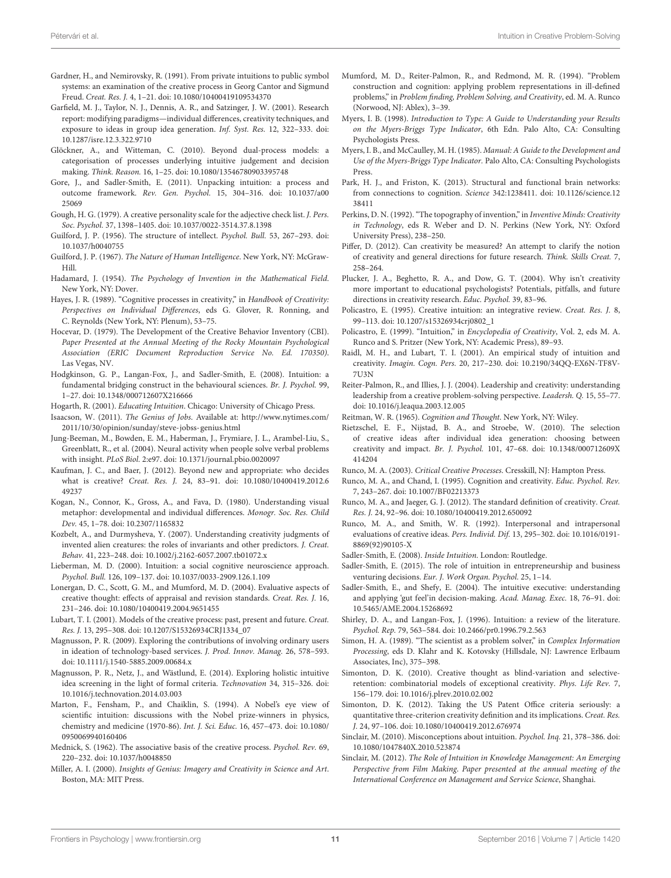- <span id="page-10-1"></span>Gardner, H., and Nemirovsky, R. (1991). From private intuitions to public symbol systems: an examination of the creative process in Georg Cantor and Sigmund Freud. Creat. Res. J. 4, 1–21. doi: 10.1080/10400419109534370
- <span id="page-10-40"></span>Garfield, M. J., Taylor, N. J., Dennis, A. R., and Satzinger, J. W. (2001). Research report: modifying paradigms—individual differences, creativity techniques, and exposure to ideas in group idea generation. Inf. Syst. Res. 12, 322–333. doi: 10.1287/isre.12.3.322.9710
- <span id="page-10-27"></span>Glöckner, A., and Witteman, C. (2010). Beyond dual-process models: a categorisation of processes underlying intuitive judgement and decision making. Think. Reason. 16, 1–25. doi: 10.1080/13546780903395748
- <span id="page-10-26"></span>Gore, J., and Sadler-Smith, E. (2011). Unpacking intuition: a process and outcome framework. Rev. Gen. Psychol. 15, 304–316. doi: 10.1037/a00 25069
- <span id="page-10-47"></span>Gough, H. G. (1979). A creative personality scale for the adjective check list. J. Pers. Soc. Psychol. 37, 1398–1405. doi: 10.1037/0022-3514.37.8.1398
- <span id="page-10-22"></span>Guilford, J. P. (1956). The structure of intellect. Psychol. Bull. 53, 267–293. doi: 10.1037/h0040755
- <span id="page-10-23"></span>Guilford, J. P. (1967). The Nature of Human Intelligence. New York, NY: McGraw-Hill.
- <span id="page-10-0"></span>Hadamard, J. (1954). The Psychology of Invention in the Mathematical Field. New York, NY: Dover.
- <span id="page-10-11"></span>Hayes, J. R. (1989). "Cognitive processes in creativity," in Handbook of Creativity: Perspectives on Individual Differences, eds G. Glover, R. Ronning, and C. Reynolds (New York, NY: Plenum), 53–75.
- <span id="page-10-46"></span>Hocevar, D. (1979). The Development of the Creative Behavior Inventory (CBI). Paper Presented at the Annual Meeting of the Rocky Mountain Psychological Association (ERIC Document Reproduction Service No. Ed. 170350). Las Vegas, NV.
- <span id="page-10-34"></span>Hodgkinson, G. P., Langan-Fox, J., and Sadler-Smith, E. (2008). Intuition: a fundamental bridging construct in the behavioural sciences. Br. J. Psychol. 99, 1–27. doi: 10.1348/000712607X216666
- <span id="page-10-6"></span>Hogarth, R. (2001). Educating Intuition. Chicago: University of Chicago Press.
- <span id="page-10-3"></span>Isaacson, W. (2011). The Genius of Jobs. Available at: [http://www.nytimes.com/](http://www.nytimes.com/2011/10/30/opinion/sunday/steve-jobss-genius.html) [2011/10/30/opinion/sunday/steve-jobss-genius.html](http://www.nytimes.com/2011/10/30/opinion/sunday/steve-jobss-genius.html)
- <span id="page-10-38"></span>Jung-Beeman, M., Bowden, E. M., Haberman, J., Frymiare, J. L., Arambel-Liu, S., Greenblatt, R., et al. (2004). Neural activity when people solve verbal problems with insight. PLoS Biol. 2:e97. doi: 10.1371/journal.pbio.0020097
- <span id="page-10-24"></span>Kaufman, J. C., and Baer, J. (2012). Beyond new and appropriate: who decides what is creative? Creat. Res. J. 24, 83–91. doi: 10.1080/10400419.2012.6 49237
- <span id="page-10-43"></span>Kogan, N., Connor, K., Gross, A., and Fava, D. (1980). Understanding visual metaphor: developmental and individual differences. Monogr. Soc. Res. Child Dev. 45, 1–78. doi: 10.2307/1165832
- <span id="page-10-21"></span>Kozbelt, A., and Durmysheva, Y. (2007). Understanding creativity judgments of invented alien creatures: the roles of invariants and other predictors. J. Creat. Behav. 41, 223–248. doi: 10.1002/j.2162-6057.2007.tb01072.x
- <span id="page-10-37"></span>Lieberman, M. D. (2000). Intuition: a social cognitive neuroscience approach. Psychol. Bull. 126, 109–137. doi: 10.1037/0033-2909.126.1.109
- <span id="page-10-20"></span>Lonergan, D. C., Scott, G. M., and Mumford, M. D. (2004). Evaluative aspects of creative thought: effects of appraisal and revision standards. Creat. Res. J. 16, 231–246. doi: 10.1080/10400419.2004.9651455
- <span id="page-10-16"></span>Lubart, T. I. (2001). Models of the creative process: past, present and future. Creat. Res. J. 13, 295–308. doi: 10.1207/S15326934CRJ1334\_07
- <span id="page-10-45"></span>Magnusson, P. R. (2009). Exploring the contributions of involving ordinary users in ideation of technology-based services. J. Prod. Innov. Manag. 26, 578–593. doi: 10.1111/j.1540-5885.2009.00684.x
- <span id="page-10-42"></span>Magnusson, P. R., Netz, J., and Wästlund, E. (2014). Exploring holistic intuitive idea screening in the light of formal criteria. Technovation 34, 315–326. doi: 10.1016/j.technovation.2014.03.003
- <span id="page-10-39"></span>Marton, F., Fensham, P., and Chaiklin, S. (1994). A Nobel's eye view of scientific intuition: discussions with the Nobel prize-winners in physics, chemistry and medicine (1970-86). Int. J. Sci. Educ. 16, 457–473. doi: 10.1080/ 0950069940160406
- <span id="page-10-15"></span>Mednick, S. (1962). The associative basis of the creative process. Psychol. Rev. 69, 220–232. doi: 10.1037/h0048850
- <span id="page-10-2"></span>Miller, A. I. (2000). Insights of Genius: Imagery and Creativity in Science and Art. Boston, MA: MIT Press.
- <span id="page-10-12"></span>Mumford, M. D., Reiter-Palmon, R., and Redmond, M. R. (1994). "Problem construction and cognition: applying problem representations in ill-defined problems," in Problem finding, Problem Solving, and Creativity, ed. M. A. Runco (Norwood, NJ: Ablex), 3–39.
- <span id="page-10-48"></span>Myers, I. B. (1998). Introduction to Type: A Guide to Understanding your Results on the Myers-Briggs Type Indicator, 6th Edn. Palo Alto, CA: Consulting Psychologists Press.
- <span id="page-10-44"></span>Myers, I. B., and McCaulley, M. H. (1985). Manual: A Guide to the Development and Use of the Myers-Briggs Type Indicator. Palo Alto, CA: Consulting Psychologists Press.
- <span id="page-10-49"></span>Park, H. J., and Friston, K. (2013). Structural and functional brain networks: from connections to cognition. Science 342:1238411. doi: 10.1126/science.12 38411
- <span id="page-10-28"></span>Perkins, D. N. (1992). "The topography of invention," in Inventive Minds: Creativity in Technology, eds R. Weber and D. N. Perkins (New York, NY: Oxford University Press), 238–250.
- <span id="page-10-25"></span>Piffer, D. (2012). Can creativity be measured? An attempt to clarify the notion of creativity and general directions for future research. Think. Skills Creat. 7, 258–264.
- <span id="page-10-9"></span>Plucker, J. A., Beghetto, R. A., and Dow, G. T. (2004). Why isn't creativity more important to educational psychologists? Potentials, pitfalls, and future directions in creativity research. Educ. Psychol. 39, 83–96.
- <span id="page-10-30"></span>Policastro, E. (1995). Creative intuition: an integrative review. Creat. Res. J. 8, 99–113. doi: 10.1207/s15326934crj0802\_1
- <span id="page-10-29"></span>Policastro, E. (1999). "Intuition," in Encyclopedia of Creativity, Vol. 2, eds M. A. Runco and S. Pritzer (New York, NY: Academic Press), 89–93.
- <span id="page-10-4"></span>Raidl, M. H., and Lubart, T. I. (2001). An empirical study of intuition and creativity. Imagin. Cogn. Pers. 20, 217–230. doi: 10.2190/34QQ-EX6N-TF8V-7U3N
- <span id="page-10-17"></span>Reiter-Palmon, R., and Illies, J. J. (2004). Leadership and creativity: understanding leadership from a creative problem-solving perspective. Leadersh. Q. 15, 55–77. doi: 10.1016/j.leaqua.2003.12.005

<span id="page-10-18"></span><span id="page-10-10"></span>Reitman, W. R. (1965). Cognition and Thought. New York, NY: Wiley.

- Rietzschel, E. F., Nijstad, B. A., and Stroebe, W. (2010). The selection of creative ideas after individual idea generation: choosing between creativity and impact. Br. J. Psychol. 101, 47–68. doi: 10.1348/000712609X 414204
- <span id="page-10-19"></span>Runco, M. A. (2003). Critical Creative Processes. Cresskill, NJ: Hampton Press.
- <span id="page-10-14"></span>Runco, M. A., and Chand, I. (1995). Cognition and creativity. Educ. Psychol. Rev. 7, 243–267. doi: 10.1007/BF02213373
- <span id="page-10-8"></span>Runco, M. A., and Jaeger, G. J. (2012). The standard definition of creativity. Creat. Res. J. 24, 92–96. doi: 10.1080/10400419.2012.650092
- <span id="page-10-13"></span>Runco, M. A., and Smith, W. R. (1992). Interpersonal and intrapersonal evaluations of creative ideas. Pers. Individ. Dif. 13, 295–302. doi: 10.1016/0191- 8869(92)90105-X
- <span id="page-10-7"></span>Sadler-Smith, E. (2008). Inside Intuition. London: Routledge.
- <span id="page-10-50"></span>Sadler-Smith, E. (2015). The role of intuition in entrepreneurship and business venturing decisions. Eur. J. Work Organ. Psychol. 25, 1–14.
- <span id="page-10-36"></span>Sadler-Smith, E., and Shefy, E. (2004). The intuitive executive: understanding and applying 'gut feel'in decision-making. Acad. Manag. Exec. 18, 76–91. doi: 10.5465/AME.2004.15268692
- <span id="page-10-31"></span>Shirley, D. A., and Langan-Fox, J. (1996). Intuition: a review of the literature. Psychol. Rep. 79, 563–584. doi: 10.2466/pr0.1996.79.2.563
- <span id="page-10-32"></span>Simon, H. A. (1989). "The scientist as a problem solver," in Complex Information Processing, eds D. Klahr and K. Kotovsky (Hillsdale, NJ: Lawrence Erlbaum Associates, Inc), 375–398.
- <span id="page-10-33"></span>Simonton, D. K. (2010). Creative thought as blind-variation and selectiveretention: combinatorial models of exceptional creativity. Phys. Life Rev. 7, 156–179. doi: 10.1016/j.plrev.2010.02.002
- <span id="page-10-35"></span>Simonton, D. K. (2012). Taking the US Patent Office criteria seriously: a quantitative three-criterion creativity definition and its implications. Creat. Res. J. 24, 97–106. doi: 10.1080/10400419.2012.676974
- <span id="page-10-5"></span>Sinclair, M. (2010). Misconceptions about intuition. Psychol. Inq. 21, 378–386. doi: 10.1080/1047840X.2010.523874
- <span id="page-10-41"></span>Sinclair, M. (2012). The Role of Intuition in Knowledge Management: An Emerging Perspective from Film Making. Paper presented at the annual meeting of the International Conference on Management and Service Science, Shanghai.